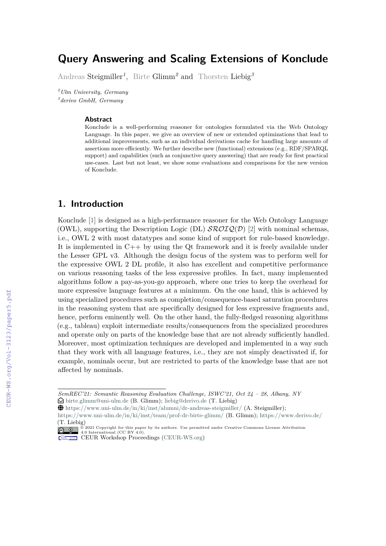# **Query Answering and Scaling Extensions of Konclude**

Andreas Steigmiller*<sup>1</sup>* , Birte Glimm*<sup>2</sup>* and Thorsten Liebig*<sup>3</sup>*

*<sup>2</sup>Ulm University, Germany 3 derivo GmbH, Germany*

#### **Abstract**

Konclude is a well-performing reasoner for ontologies formulated via the Web Ontology Language. In this paper, we give an overview of new or extended optimizations that lead to additional improvements, such as an individual derivations cache for handling large amounts of assertions more efficiently. We further describe new (functional) extensions (e.g., RDF/SPARQL support) and capabilities (such as conjunctive query answering) that are ready for first practical use-cases. Last but not least, we show some evaluations and comparisons for the new version of Konclude.

### **1. Introduction**

Konclude [\[1\]](#page--1-0) is designed as a high-performance reasoner for the Web Ontology Language (OWL), supporting the Description Logic (DL)  $\mathcal{SROLQ}(\mathcal{D})$  [\[2\]](#page--1-1) with nominal schemas, i.e., OWL 2 with most datatypes and some kind of support for rule-based knowledge. It is implemented in C++ by using the Qt framework and it is freely available under the Lesser GPL v3. Although the design focus of the system was to perform well for the expressive OWL 2 DL profile, it also has excellent and competitive performance on various reasoning tasks of the less expressive profiles. In fact, many implemented algorithms follow a pay-as-you-go approach, where one tries to keep the overhead for more expressive language features at a minimum. On the one hand, this is achieved by using specialized procedures such as completion/consequence-based saturation procedures in the reasoning system that are specifically designed for less expressive fragments and, hence, perform eminently well. On the other hand, the fully-fledged reasoning algorithms (e.g., tableau) exploit intermediate results/consequences from the specialized procedures and operate only on parts of the knowledge base that are not already sufficiently handled. Moreover, most optimization techniques are developed and implemented in a way such that they work with all language features, i.e., they are not simply deactivated if, for example, nominals occur, but are restricted to parts of the knowledge base that are not affected by nominals.

*SemREC'21: Semantic Reasoning Evaluation Challenge, ISWC'21, Oct 24 – 28, Albany, NY*  $\Theta$  [birte.glimm@uni-ulm.de](mailto:birte.glimm@uni-ulm.de) (B. Glimm); [liebig@derivo.de](mailto:liebig@derivo.de) (T. Liebig)

 $\bigoplus$  <https://www.uni-ulm.de/in/ki/inst/alumni/dr-andreas-steigmiller/> (A. Steigmiller);

<https://www.uni-ulm.de/in/ki/inst/team/prof-dr-birte-glimm/> (B. Glimm); <https://www.derivo.de/>

<sup>(</sup>T. Liebig) © 2021 Copyright for this paper by its authors. Use permitted under Creative Commons License Attribution 4.0 International (CC BY 4.0).

CEUR Workshop [Proceedings](http://ceur-ws.org) [\(CEUR-WS.org\)](http://ceur-ws.org)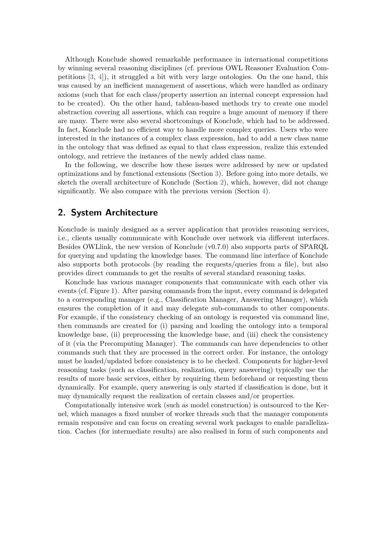Although Konclude showed remarkable performance in international competitions by winning several reasoning disciplines (cf. previous OWL Reasoner Evaluation Competitions [\[3,](#page-5-0) [4\]](#page-5-1)), it struggled a bit with very large ontologies. On the one hand, this was caused by an inefficient management of assertions, which were handled as ordinary axioms (such that for each class/property assertion an internal concept expression had to be created). On the other hand, tableau-based methods try to create one model abstraction covering all assertions, which can require a huge amount of memory if there are many. There were also several shortcomings of Konclude, which had to be addressed. In fact, Konclude had no efficient way to handle more complex queries. Users who were interested in the instances of a complex class expression, had to add a new class name in the ontology that was defined as equal to that class expression, realize this extended ontology, and retrieve the instances of the newly added class name.

In the following, we describe how these issues were addressed by new or updated optimizations and by functional extensions (Section [3\)](#page-2-0). Before going into more details, we sketch the overall architecture of Konclude (Section [2\)](#page-1-0), which, however, did not change significantly. We also compare with the previous version (Section [4\)](#page-4-0).

### <span id="page-1-0"></span>**2. System Architecture**

Konclude is mainly designed as a server application that provides reasoning services, i.e., clients usually communicate with Konclude over network via different interfaces. Besides OWLlink, the new version of Konclude (v0.7.0) also supports parts of SPARQL for querying and updating the knowledge bases. The command line interface of Konclude also supports both protocols (by reading the requests/queries from a file), but also provides direct commands to get the results of several standard reasoning tasks.

Konclude has various manager components that communicate with each other via events (cf. Figure 1). After parsing commands from the input, every command is delegated to a corresponding manager (e.g., Classification Manager, Answering Manager), which ensures the completion of it and may delegate sub-commands to other components. For example, if the consistency checking of an ontology is requested via command line, then commands are created for (i) parsing and loading the ontology into a temporal knowledge base, (ii) preprocessing the knowledge base, and (iii) check the consistency of it (via the Precomputing Manager). The commands can have dependencies to other commands such that they are processed in the correct order. For instance, the ontology must be loaded/updated before consistency is to be checked. Components for higher-level reasoning tasks (such as classification, realization, query answering) typically use the results of more basic services, either by requiring them beforehand or requesting them dynamically. For example, query answering is only started if classification is done, but it may dynamically request the realization of certain classes and/or properties.

Computationally intensive work (such as model construction) is outsourced to the Kernel, which manages a fixed number of worker threads such that the manager components remain responsive and can focus on creating several work packages to enable parallelization. Caches (for intermediate results) are also realised in form of such components and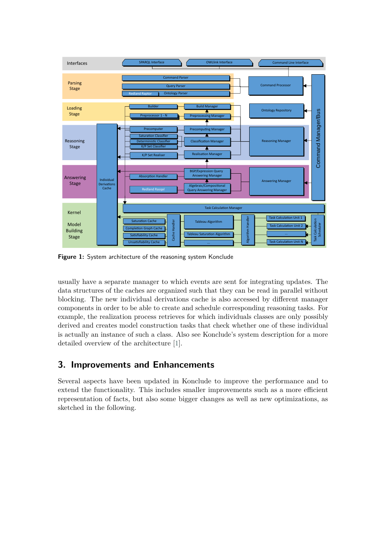

**Figure 1:** System architecture of the reasoning system Konclude

usually have a separate manager to which events are sent for integrating updates. The data structures of the caches are organized such that they can be read in parallel without blocking. The new individual derivations cache is also accessed by different manager components in order to be able to create and schedule corresponding reasoning tasks. For example, the realization process retrieves for which individuals classes are only possibly derived and creates model construction tasks that check whether one of these individual is actually an instance of such a class. Also see Konclude's system description for a more detailed overview of the architecture [\[1\]](#page-5-2).

## <span id="page-2-0"></span>**3. Improvements and Enhancements**

Several aspects have been updated in Konclude to improve the performance and to extend the functionality. This includes smaller improvements such as a more efficient representation of facts, but also some bigger changes as well as new optimizations, as sketched in the following.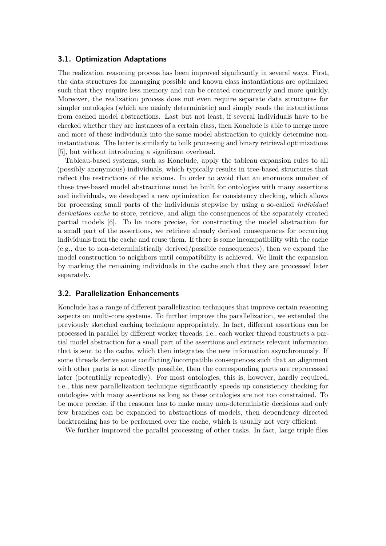#### **3.1. Optimization Adaptations**

The realization reasoning process has been improved significantly in several ways. First, the data structures for managing possible and known class instantiations are optimized such that they require less memory and can be created concurrently and more quickly. Moreover, the realization process does not even require separate data structures for simpler ontologies (which are mainly deterministic) and simply reads the instantiations from cached model abstractions. Last but not least, if several individuals have to be checked whether they are instances of a certain class, then Konclude is able to merge more and more of these individuals into the same model abstraction to quickly determine noninstantiations. The latter is similarly to bulk processing and binary retrieval optimizations [\[5\]](#page-5-3), but without introducing a significant overhead.

Tableau-based systems, such as Konclude, apply the tableau expansion rules to all (possibly anonymous) individuals, which typically results in tree-based structures that reflect the restrictions of the axioms. In order to avoid that an enormous number of these tree-based model abstractions must be built for ontologies with many assertions and individuals, we developed a new optimization for consistency checking, which allows for processing small parts of the individuals stepwise by using a so-called *individual derivations cache* to store, retrieve, and align the consequences of the separately created partial models [\[6\]](#page-5-4). To be more precise, for constructing the model abstraction for a small part of the assertions, we retrieve already derived consequences for occurring individuals from the cache and reuse them. If there is some incompatibility with the cache (e.g., due to non-deterministically derived/possible consequences), then we expand the model construction to neighbors until compatibility is achieved. We limit the expansion by marking the remaining individuals in the cache such that they are processed later separately.

#### **3.2. Parallelization Enhancements**

Konclude has a range of different parallelization techniques that improve certain reasoning aspects on multi-core systems. To further improve the parallelization, we extended the previously sketched caching technique appropriately. In fact, different assertions can be processed in parallel by different worker threads, i.e., each worker thread constructs a partial model abstraction for a small part of the assertions and extracts relevant information that is sent to the cache, which then integrates the new information asynchronously. If some threads derive some conflicting/incompatible consequences such that an alignment with other parts is not directly possible, then the corresponding parts are reprocessed later (potentially repeatedly). For most ontologies, this is, however, hardly required, i.e., this new parallelization technique significantly speeds up consistency checking for ontologies with many assertions as long as these ontologies are not too constrained. To be more precise, if the reasoner has to make many non-deterministic decisions and only few branches can be expanded to abstractions of models, then dependency directed backtracking has to be performed over the cache, which is usually not very efficient.

We further improved the parallel processing of other tasks. In fact, large triple files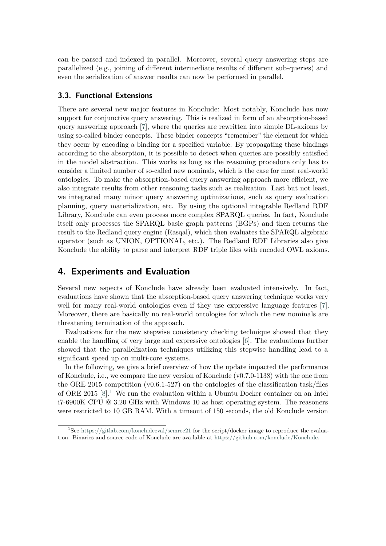can be parsed and indexed in parallel. Moreover, several query answering steps are parallelized (e.g., joining of different intermediate results of different sub-queries) and even the serialization of answer results can now be performed in parallel.

#### **3.3. Functional Extensions**

There are several new major features in Konclude: Most notably, Konclude has now support for conjunctive query answering. This is realized in form of an absorption-based query answering approach [\[7\]](#page-6-0), where the queries are rewritten into simple DL-axioms by using so-called binder concepts. These binder concepts "remember" the element for which they occur by encoding a binding for a specified variable. By propagating these bindings according to the absorption, it is possible to detect when queries are possibly satisfied in the model abstraction. This works as long as the reasoning procedure only has to consider a limited number of so-called new nominals, which is the case for most real-world ontologies. To make the absorption-based query answering approach more efficient, we also integrate results from other reasoning tasks such as realization. Last but not least, we integrated many minor query answering optimizations, such as query evaluation planning, query materialization, etc. By using the optional integrable Redland RDF Library, Konclude can even process more complex SPARQL queries. In fact, Konclude itself only processes the SPARQL basic graph patterns (BGPs) and then returns the result to the Redland query engine (Rasqal), which then evaluates the SPARQL algebraic operator (such as UNION, OPTIONAL, etc.). The Redland RDF Libraries also give Konclude the ability to parse and interpret RDF triple files with encoded OWL axioms.

### <span id="page-4-0"></span>**4. Experiments and Evaluation**

Several new aspects of Konclude have already been evaluated intensively. In fact, evaluations have shown that the absorption-based query answering technique works very well for many real-world ontologies even if they use expressive language features [\[7\]](#page-6-0). Moreover, there are basically no real-world ontologies for which the new nominals are threatening termination of the approach.

Evaluations for the new stepwise consistency checking technique showed that they enable the handling of very large and expressive ontologies [\[6\]](#page-5-4). The evaluations further showed that the parallelization techniques utilizing this stepwise handling lead to a significant speed up on multi-core systems.

In the following, we give a brief overview of how the update impacted the performance of Konclude, i.e., we compare the new version of Konclude (v0.7.0-1138) with the one from the ORE 2015 competition (v0.6.1-527) on the ontologies of the classification task/files of ORE 20[1](#page-4-1)5  $[8]$ <sup>1</sup>. We run the evaluation within a Ubuntu Docker container on an Intel i7-6900K CPU @ 3.20 GHz with Windows 10 as host operating system. The reasoners were restricted to 10 GB RAM. With a timeout of 150 seconds, the old Konclude version

<span id="page-4-1"></span><sup>&</sup>lt;sup>1</sup>See <https://gitlab.com/koncludeeval/semrec21> for the script/docker image to reproduce the evaluation. Binaries and source code of Konclude are available at [https://github.com/konclude/Konclude.](https://github.com/konclude/Konclude)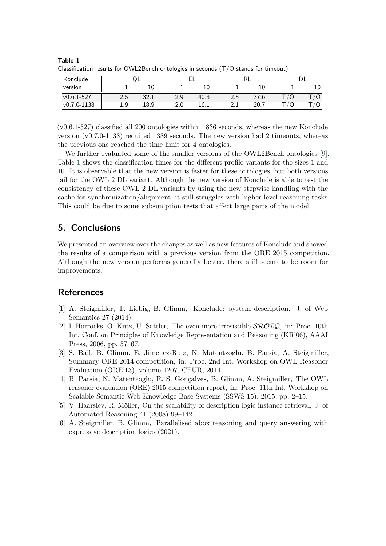| Konclude        | ⊍∟  |            |     |      |     |      |  |    |
|-----------------|-----|------------|-----|------|-----|------|--|----|
| version         |     | 10         |     | 10   |     | 10   |  | 10 |
| $v0.6.1 - 527$  | 2.5 | າາ<br>34.1 | 2.9 | 40.3 | 2.5 | 37.6 |  |    |
| $v0.7.0 - 1138$ | 1.9 | 18.9       | 2.0 | 16.1 | 2.I | 20.7 |  | /Ο |

<span id="page-5-5"></span>**Table 1** Classification results for OWL2Bench ontologies in seconds (T/O stands for timeout)

(v0.6.1-527) classified all 200 ontologies within 1836 seconds, whereas the new Konclude version (v0.7.0-1138) required 1389 seconds. The new version had 2 timeouts, whereas the previous one reached the time limit for 4 ontologies.

We further evaluated some of the smaller versions of the OWL2Bench ontologies [\[9\]](#page-6-2). Table [1](#page-5-5) shows the classification times for the different profile variants for the sizes 1 and 10. It is observable that the new version is faster for these ontologies, but both versions fail for the OWL 2 DL variant. Although the new version of Konclude is able to test the consistency of these OWL 2 DL variants by using the new stepwise handling with the cache for synchronization/alignment, it still struggles with higher level reasoning tasks. This could be due to some subsumption tests that affect large parts of the model.

## **5. Conclusions**

We presented an overview over the changes as well as new features of Konclude and showed the results of a comparison with a previous version from the ORE 2015 competition. Although the new version performs generally better, there still seems to be room for improvements.

## **References**

- <span id="page-5-2"></span>[1] A. Steigmiller, T. Liebig, B. Glimm, Konclude: system description, J. of Web Semantics 27 (2014).
- [2] I. Horrocks, O. Kutz, U. Sattler, The even more irresistible  $\mathcal{SROLQ}$ , in: Proc. 10th Int. Conf. on Principles of Knowledge Representation and Reasoning (KR'06), AAAI Press, 2006, pp. 57–67.
- <span id="page-5-0"></span>[3] S. Bail, B. Glimm, E. Jiménez-Ruiz, N. Matentzoglu, B. Parsia, A. Steigmiller, Summary ORE 2014 competition, in: Proc. 2nd Int. Workshop on OWL Reasoner Evaluation (ORE'13), volume 1207, CEUR, 2014.
- <span id="page-5-1"></span>[4] B. Parsia, N. Matentzoglu, R. S. Gonçalves, B. Glimm, A. Steigmiller, The OWL reasoner evaluation (ORE) 2015 competition report, in: Proc. 11th Int. Workshop on Scalable Semantic Web Knowledge Base Systems (SSWS'15), 2015, pp. 2–15.
- <span id="page-5-3"></span>[5] V. Haarslev, R. Möller, On the scalability of description logic instance retrieval, J. of Automated Reasoning 41 (2008) 99–142.
- <span id="page-5-4"></span>[6] A. Steigmiller, B. Glimm, Parallelised abox reasoning and query answering with expressive description logics (2021).